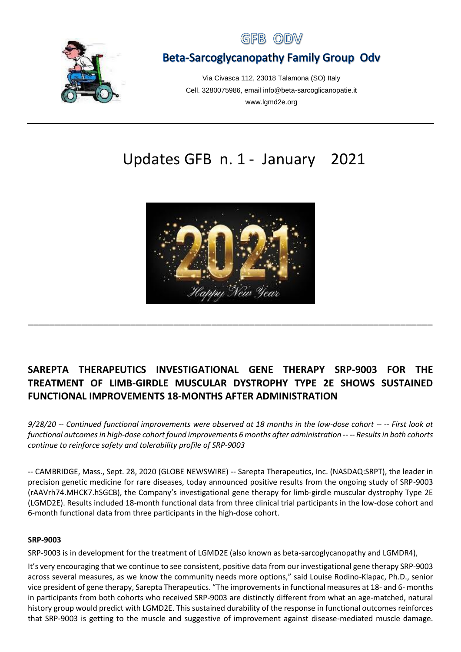



# Beta-Sarcoglycanopathy Family Group Odv

Via Civasca 112, 23018 Talamona (SO) Italy Cell. 3280075986, email info@beta-sarcoglicanopatie.it www.lgmd2e.org

# Updates GFB n. 1 - January 2021



# **SAREPTA THERAPEUTICS INVESTIGATIONAL GENE THERAPY SRP-9003 FOR THE TREATMENT OF LIMB-GIRDLE MUSCULAR DYSTROPHY TYPE 2E SHOWS SUSTAINED FUNCTIONAL IMPROVEMENTS 18-MONTHS AFTER ADMINISTRATION**

\_\_\_\_\_\_\_\_\_\_\_\_\_\_\_\_\_\_\_\_\_\_\_\_\_\_\_\_\_\_\_\_\_\_\_\_\_\_\_\_\_\_\_\_\_\_\_\_\_\_\_\_\_\_\_\_\_\_\_\_\_\_\_\_\_\_\_\_\_\_\_\_\_\_\_

*9/28/20 -- Continued functional improvements were observed at 18 months in the low-dose cohort -- -- First look at functional outcomes in high-dose cohort found improvements 6 months after administration -- -- Results in both cohorts continue to reinforce safety and tolerability profile of SRP-9003* 

-- CAMBRIDGE, Mass., Sept. 28, 2020 (GLOBE NEWSWIRE) -- Sarepta Therapeutics, Inc. (NASDAQ:SRPT), the leader in precision genetic medicine for rare diseases, today announced positive results from the ongoing study of SRP-9003 (rAAVrh74.MHCK7.hSGCB), the Company's investigational gene therapy for limb-girdle muscular dystrophy Type 2E (LGMD2E). Results included 18-month functional data from three clinical trial participants in the low-dose cohort and 6-month functional data from three participants in the high-dose cohort.

#### **SRP-9003**

SRP-9003 is in development for the treatment of LGMD2E (also known as beta-sarcoglycanopathy and LGMDR4),

It's very encouraging that we continue to see consistent, positive data from our investigational gene therapy SRP-9003 across several measures, as we know the community needs more options," said Louise Rodino-Klapac, Ph.D., senior vice president of gene therapy, Sarepta Therapeutics. "The improvements in functional measures at 18- and 6- months in participants from both cohorts who received SRP-9003 are distinctly different from what an age-matched, natural history group would predict with LGMD2E. This sustained durability of the response in functional outcomes reinforces that SRP-9003 is getting to the muscle and suggestive of improvement against disease-mediated muscle damage.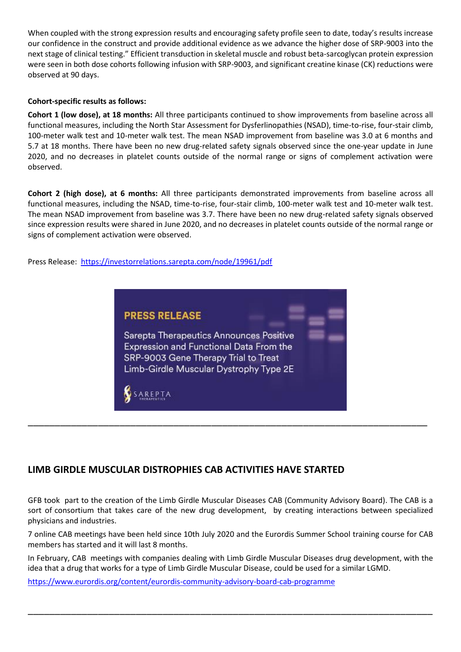When coupled with the strong expression results and encouraging safety profile seen to date, today's results increase our confidence in the construct and provide additional evidence as we advance the higher dose of SRP-9003 into the next stage of clinical testing." Efficient transduction in skeletal muscle and robust beta-sarcoglycan protein expression were seen in both dose cohorts following infusion with SRP-9003, and significant creatine kinase (CK) reductions were observed at 90 days.

#### **Cohort-specific results as follows:**

**Cohort 1 (low dose), at 18 months:** All three participants continued to show improvements from baseline across all functional measures, including the North Star Assessment for Dysferlinopathies (NSAD), time-to-rise, four-stair climb, 100-meter walk test and 10-meter walk test. The mean NSAD improvement from baseline was 3.0 at 6 months and 5.7 at 18 months. There have been no new drug-related safety signals observed since the one-year update in June 2020, and no decreases in platelet counts outside of the normal range or signs of complement activation were observed.

**Cohort 2 (high dose), at 6 months:** All three participants demonstrated improvements from baseline across all functional measures, including the NSAD, time-to-rise, four-stair climb, 100-meter walk test and 10-meter walk test. The mean NSAD improvement from baseline was 3.7. There have been no new drug-related safety signals observed since expression results were shared in June 2020, and no decreases in platelet counts outside of the normal range or signs of complement activation were observed.

[Press Release:](https://context.reverso.net/traduzione/inglese-italiano/press+release)<https://investorrelations.sarepta.com/node/19961/pdf>



### **LIMB GIRDLE MUSCULAR DISTROPHIES CAB ACTIVITIES HAVE STARTED**

GFB took part to the creation of the Limb Girdle Muscular Diseases CAB (Community Advisory Board). The CAB is a sort of consortium that takes care of the new drug development, by creating interactions between specialized physicians and industries.

7 online CAB meetings have been held since 10th July 2020 and the Eurordis Summer School training course for CAB members has started and it will last 8 months.

In February, CAB meetings with companies dealing with Limb Girdle Muscular Diseases drug development, with the idea that a drug that works for a type of Limb Girdle Muscular Disease, could be used for a similar LGMD.

\_\_\_\_\_\_\_\_\_\_\_\_\_\_\_\_\_\_\_\_\_\_\_\_\_\_\_\_\_\_\_\_\_\_\_\_\_\_\_\_\_\_\_\_\_\_\_\_\_\_\_\_\_\_\_\_\_\_\_\_\_\_\_\_\_\_\_\_\_\_\_\_\_\_\_

<https://www.eurordis.org/content/eurordis-community-advisory-board-cab-programme>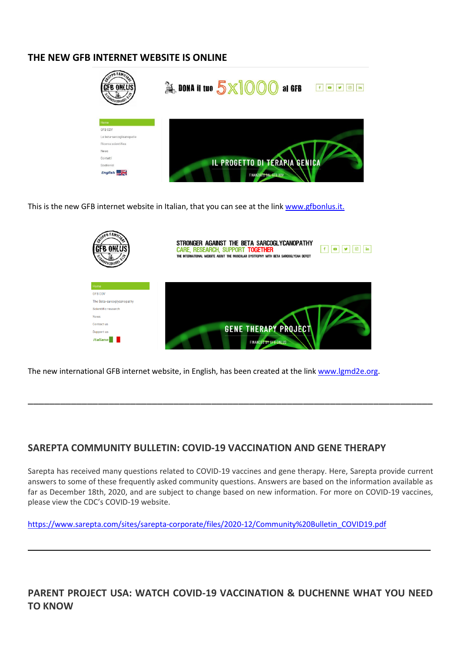#### **THE NEW GFB INTERNET WEBSITE IS ONLINE**



This is the new GFB internet website in Italian, that you can see at the lin[k www.gfbonlus.it.](http://www.gfbonlus.it/)



The new international GFB internet website, in English, has been created at the link [www.lgmd2e.org.](http://www.lgmd2e.org/)

#### **SAREPTA COMMUNITY BULLETIN: COVID-19 VACCINATION AND GENE THERAPY**

Sarepta has received many questions related to COVID-19 vaccines and gene therapy. Here, Sarepta provide current answers to some of these frequently asked community questions. Answers are based on the information available as far as December 18th, 2020, and are subject to change based on new information. For more on COVID-19 vaccines, please view the CDC's COVID-19 website.

\_\_\_\_\_\_\_\_\_\_\_\_\_\_\_\_\_\_\_\_\_\_\_\_\_\_\_\_\_\_\_\_\_\_\_\_\_\_\_\_\_\_\_\_\_\_\_\_\_\_\_\_\_\_\_\_\_\_\_\_\_\_\_\_\_\_\_\_\_\_\_\_\_\_\_

[https://www.sarepta.com/sites/sarepta-corporate/files/2020-12/Community%20Bulletin\\_COVID19.pdf](https://www.sarepta.com/sites/sarepta-corporate/files/2020-12/Community%20Bulletin_COVID19.pdf)

**PARENT PROJECT USA: WATCH COVID-19 VACCINATION & DUCHENNE WHAT YOU NEED TO KNOW**

\_\_\_\_\_\_\_\_\_\_\_\_\_\_\_\_\_\_\_\_\_\_\_\_\_\_\_\_\_\_\_\_\_\_\_\_\_\_\_\_\_\_\_\_\_\_\_\_\_\_\_\_\_\_\_\_\_\_\_\_\_\_\_\_\_\_\_\_\_\_\_\_\_\_\_\_\_\_\_\_\_\_\_\_\_\_\_\_\_\_\_\_\_\_\_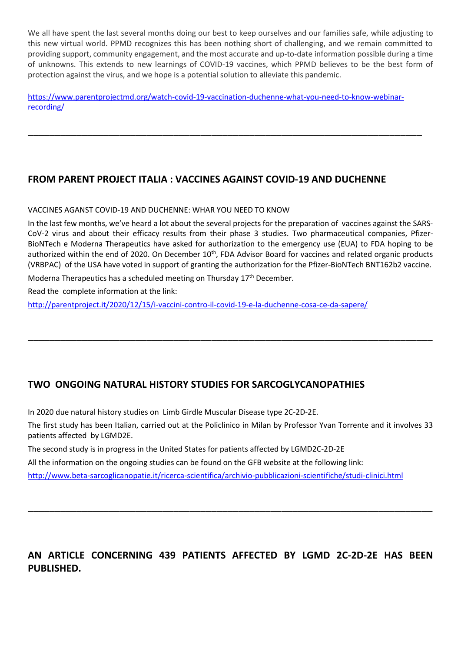We all have spent the last several months doing our best to keep ourselves and our families safe, while adjusting to this new virtual world. PPMD recognizes this has been nothing short of challenging, and we remain committed to providing support, community engagement, and the most accurate and up-to-date information possible during a time of unknowns. This extends to new learnings of COVID-19 vaccines, which PPMD believes to be the best form of protection against the virus, and we hope is a potential solution to alleviate this pandemic.

[https://www.parentprojectmd.org/watch-covid-19-vaccination-duchenne-what-you-need-to-know-webinar](https://www.parentprojectmd.org/watch-covid-19-vaccination-duchenne-what-you-need-to-know-webinar-recording/)[recording/](https://www.parentprojectmd.org/watch-covid-19-vaccination-duchenne-what-you-need-to-know-webinar-recording/)

\_\_\_\_\_\_\_\_\_\_\_\_\_\_\_\_\_\_\_\_\_\_\_\_\_\_\_\_\_\_\_\_\_\_\_\_\_\_\_\_\_\_\_\_\_\_\_\_\_\_\_\_\_\_\_\_\_\_\_\_\_\_\_\_\_\_\_\_\_\_\_\_\_

## **FROM PARENT PROJECT ITALIA : VACCINES AGAINST COVID-19 AND DUCHENNE**

#### VACCINES AGANST COVID-19 AND DUCHENNE: WHAR YOU NEED TO KNOW

In the last few months, we've heard a lot about the several projects for the preparation of vaccines against the SARS-CoV-2 virus and about their efficacy results from their phase 3 studies. Two pharmaceutical companies, Pfizer-BioNTech e Moderna Therapeutics have asked for authorization to the emergency use (EUA) to FDA hoping to be authorized within the end of 2020. On December 10<sup>th</sup>, FDA Advisor Board for vaccines and related organic products (VRBPAC) of the USA have voted in support of granting the authorization for the Pfizer-BioNTech BNT162b2 vaccine.

\_\_\_\_\_\_\_\_\_\_\_\_\_\_\_\_\_\_\_\_\_\_\_\_\_\_\_\_\_\_\_\_\_\_\_\_\_\_\_\_\_\_\_\_\_\_\_\_\_\_\_\_\_\_\_\_\_\_\_\_\_\_\_\_\_\_\_\_\_\_\_\_\_\_\_

Moderna Therapeutics has a scheduled meeting on Thursday 17<sup>th</sup> December.

Read the complete information at the link:

<http://parentproject.it/2020/12/15/i-vaccini-contro-il-covid-19-e-la-duchenne-cosa-ce-da-sapere/>

## **TWO ONGOING NATURAL HISTORY STUDIES FOR SARCOGLYCANOPATHIES**

In 2020 due natural history studies on Limb Girdle Muscular Disease type 2C-2D-2E.

The first study has been Italian, carried out at the Policlinico in Milan by Professor Yvan Torrente and it involves 33 patients affected by LGMD2E.

The second study is in progress in the United States for patients affected by LGMD2C-2D-2E

All the information on the ongoing studies can be found on the GFB website at the following link:

<http://www.beta-sarcoglicanopatie.it/ricerca-scientifica/archivio-pubblicazioni-scientifiche/studi-clinici.html>

## **AN ARTICLE CONCERNING 439 PATIENTS AFFECTED BY LGMD 2C-2D-2E HAS BEEN PUBLISHED.**

\_\_\_\_\_\_\_\_\_\_\_\_\_\_\_\_\_\_\_\_\_\_\_\_\_\_\_\_\_\_\_\_\_\_\_\_\_\_\_\_\_\_\_\_\_\_\_\_\_\_\_\_\_\_\_\_\_\_\_\_\_\_\_\_\_\_\_\_\_\_\_\_\_\_\_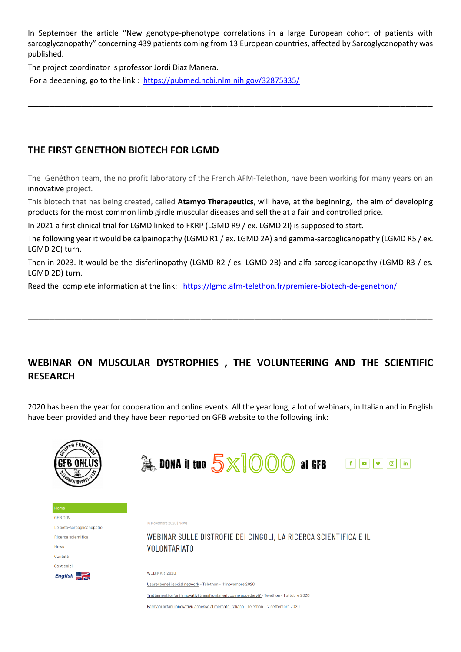In September the article "New genotype-phenotype correlations in a large European cohort of patients with sarcoglycanopathy" concerning 439 patients coming from 13 European countries, affected by Sarcoglycanopathy was published.

\_\_\_\_\_\_\_\_\_\_\_\_\_\_\_\_\_\_\_\_\_\_\_\_\_\_\_\_\_\_\_\_\_\_\_\_\_\_\_\_\_\_\_\_\_\_\_\_\_\_\_\_\_\_\_\_\_\_\_\_\_\_\_\_\_\_\_\_\_\_\_\_\_\_\_

The project coordinator is professor Jordi Diaz Manera.

For a deepening, go to the link : <https://pubmed.ncbi.nlm.nih.gov/32875335/>

#### **THE FIRST GENETHON BIOTECH FOR LGMD**

The Généthon team, the no profit laboratory of the French AFM-Telethon, have been working for many years on an innovative project.

This biotech that has being created, called **Atamyo Therapeutics**, will have, at the beginning, the aim of developing products for the most common limb girdle muscular diseases and sell the at a fair and controlled price.

In 2021 a first clinical trial for LGMD linked to FKRP (LGMD R9 / ex. LGMD 2I) is supposed to start.

The following year it would be calpainopathy (LGMD R1 / ex. LGMD 2A) and gamma-sarcoglicanopathy (LGMD R5 / ex. LGMD 2C) turn.

Then in 2023. It would be the disferlinopathy (LGMD R2 / es. LGMD 2B) and alfa-sarcoglicanopathy (LGMD R3 / es. LGMD 2D) turn.

\_\_\_\_\_\_\_\_\_\_\_\_\_\_\_\_\_\_\_\_\_\_\_\_\_\_\_\_\_\_\_\_\_\_\_\_\_\_\_\_\_\_\_\_\_\_\_\_\_\_\_\_\_\_\_\_\_\_\_\_\_\_\_\_\_\_\_\_\_\_\_\_\_\_\_

Read the complete information at the link: <https://lgmd.afm-telethon.fr/premiere-biotech-de-genethon/>

## **WEBINAR ON MUSCULAR DYSTROPHIES , THE VOLUNTEERING AND THE SCIENTIFIC RESEARCH**

2020 has been the year for cooperation and online events. All the year long, a lot of webinars, in Italian and in English have been provided and they have been reported on GFB website to the following link:



Farmaci orfani innovativi: accesso al mercato italiano - Telethon - 2 settembre 2020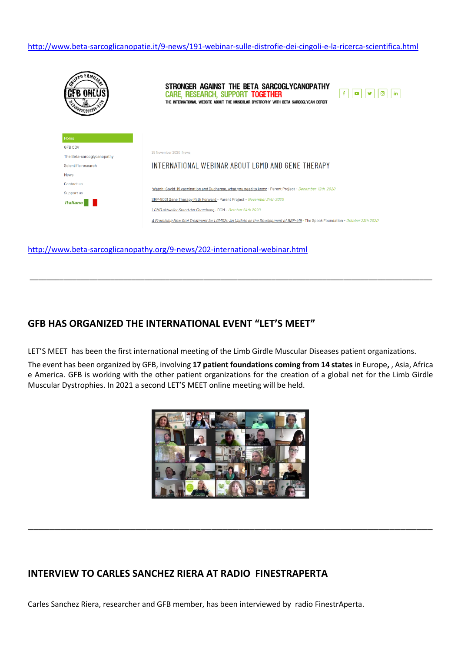<http://www.beta-sarcoglicanopatie.it/9-news/191-webinar-sulle-distrofie-dei-cingoli-e-la-ricerca-scientifica.html>



<http://www.beta-sarcoglicanopathy.org/9-news/202-international-webinar.html>

#### **GFB HAS ORGANIZED THE INTERNATIONAL EVENT "LET'S MEET"**

LET'S MEET has been the first international meeting of the Limb Girdle Muscular Diseases patient organizations.

The event has been organized by GFB, involving **17 patient foundations coming from 14 states** in Europe**,** , Asia, Africa e America. GFB is working with the other patient organizations for the creation of a global net for the Limb Girdle Muscular Dystrophies. In 2021 a second LET'S MEET online meeting will be held.

\_\_\_\_\_\_\_\_\_\_\_\_\_\_\_\_\_\_\_\_\_\_\_\_\_\_\_\_\_\_\_\_\_\_\_\_\_\_\_\_\_\_\_\_\_\_\_\_\_\_\_\_\_\_\_\_\_\_\_\_\_\_\_\_\_\_\_\_\_\_\_\_\_\_\_\_\_\_\_\_\_\_\_\_\_\_\_\_\_\_\_\_\_\_\_



\_\_\_\_\_\_\_\_\_\_\_\_\_\_\_\_\_\_\_\_\_\_\_\_\_\_\_\_\_\_\_\_\_\_\_\_\_\_\_\_\_\_\_\_\_\_\_\_\_\_\_\_\_\_\_\_\_\_\_\_\_\_\_\_\_\_\_\_\_\_\_\_\_\_\_

### **INTERVIEW TO CARLES SANCHEZ RIERA AT RADIO FINESTRAPERTA**

Carles Sanchez Riera, researcher and GFB member, has been interviewed by radio FinestrAperta.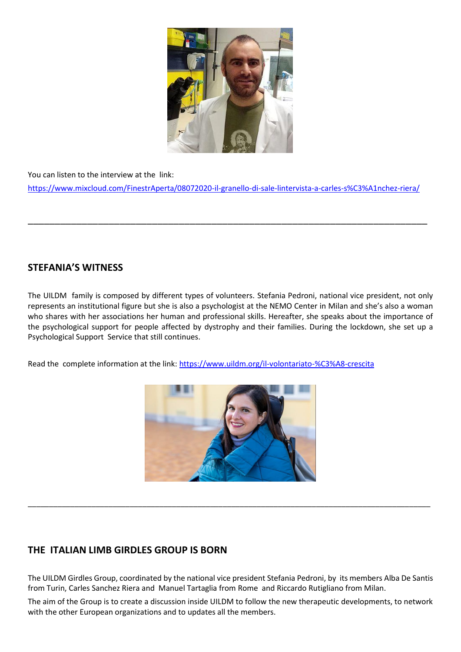

You can listen to the interview at the link: <https://www.mixcloud.com/FinestrAperta/08072020-il-granello-di-sale-lintervista-a-carles-s%C3%A1nchez-riera/>

\_\_\_\_\_\_\_\_\_\_\_\_\_\_\_\_\_\_\_\_\_\_\_\_\_\_\_\_\_\_\_\_\_\_\_\_\_\_\_\_\_\_\_\_\_\_\_\_\_\_\_\_\_\_\_\_\_\_\_\_\_\_\_\_\_\_\_\_\_\_\_\_\_\_

## **STEFANIA'S WITNESS**

The UILDM family is composed by different types of volunteers. Stefania Pedroni, national vice president, not only represents an institutional figure but she is also a psychologist at the NEMO Center in Milan and she's also a woman who shares with her associations her human and professional skills. Hereafter, she speaks about the importance of the psychological support for people affected by dystrophy and their families. During the lockdown, she set up a Psychological Support Service that still continues.

Read the complete information at the link:<https://www.uildm.org/il-volontariato-%C3%A8-crescita>



\_\_\_\_\_\_\_\_\_\_\_\_\_\_\_\_\_\_\_\_\_\_\_\_\_\_\_\_\_\_\_\_\_\_\_\_\_\_\_\_\_\_\_\_\_\_\_\_\_\_\_\_\_\_\_\_\_\_\_\_\_\_\_\_\_\_\_\_\_\_\_\_\_\_\_\_\_\_\_\_\_\_\_\_\_\_\_\_\_\_\_\_\_\_\_

## **THE ITALIAN LIMB GIRDLES GROUP IS BORN**

The UILDM Girdles Group, coordinated by the national vice president Stefania Pedroni, by its members Alba De Santis from Turin, Carles Sanchez Riera and Manuel Tartaglia from Rome and Riccardo Rutigliano from Milan.

The aim of the Group is to create a discussion inside UILDM to follow the new therapeutic developments, to network with the other European organizations and to updates all the members.